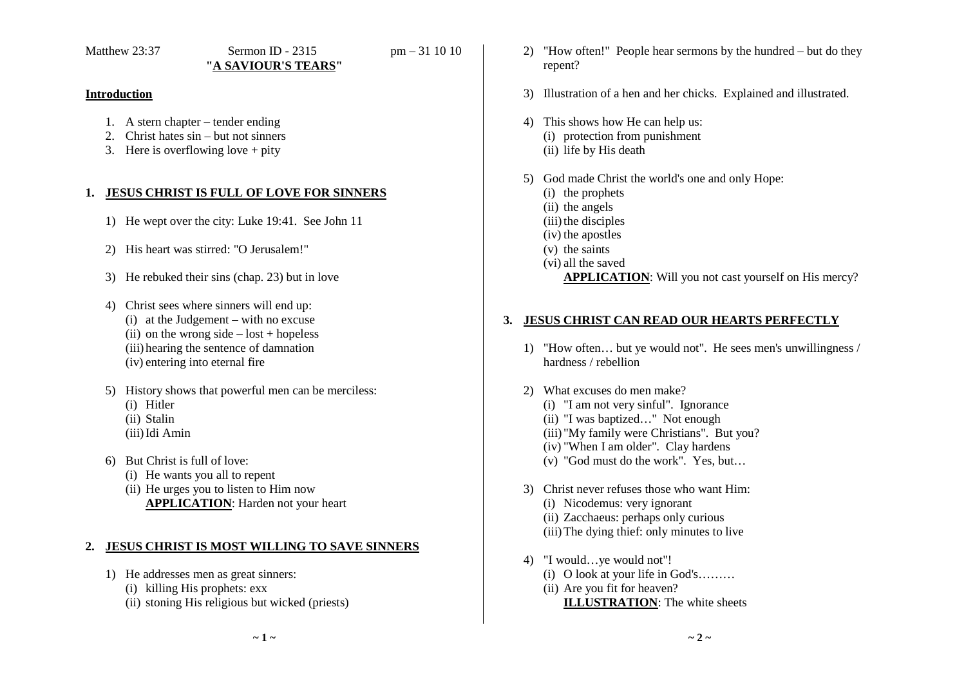### **Introduction**

- 1. A stern chapter tender ending
- 2. Christ hates sin but not sinners
- 3. Here is overflowing love + pity

## **1. JESUS CHRIST IS FULL OF LOVE FOR SINNERS**

- 1) He wept over the city: Luke 19:41. See John 11
- 2) His heart was stirred: "O Jerusalem!"
- 3) He rebuked their sins (chap. 23) but in love
- 4) Christ sees where sinners will end up: (i) at the Judgement – with no excuse (ii) on the wrong side  $-\text{lost} + \text{hopeless}$ (iii) hearing the sentence of damnation (iv) entering into eternal fire
- 5) History shows that powerful men can be merciless:
	- (i) Hitler
	- (ii) Stalin
	- (iii)Idi Amin
- 6) But Christ is full of love:
	- (i) He wants you all to repent
	- (ii) He urges you to listen to Him now **APPLICATION**: Harden not your heart

## **2. JESUS CHRIST IS MOST WILLING TO SAVE SINNERS**

- 1) He addresses men as great sinners:
	- (i) killing His prophets: exx
	- (ii) stoning His religious but wicked (priests)
- 2) "How often!" People hear sermons by the hundred but do they repent?
- 3) Illustration of a hen and her chicks. Explained and illustrated.
- 4) This shows how He can help us: (i) protection from punishment (ii) life by His death
- 5) God made Christ the world's one and only Hope:
	- (i) the prophets
	- (ii) the angels
	- (iii) the disciples
	- (iv) the apostles
	- (v) the saints
	- (vi) all the saved **APPLICATION**: Will you not cast yourself on His mercy?

## **3. JESUS CHRIST CAN READ OUR HEARTS PERFECTLY**

- 1) "How often… but ye would not". He sees men's unwillingness / hardness / rebellion
- 2) What excuses do men make? (i) "I am not very sinful". Ignorance (ii) "I was baptized…" Not enough (iii) "My family were Christians". But you? (iv) "When I am older". Clay hardens
	- (v) "God must do the work". Yes, but…
- 3) Christ never refuses those who want Him: (i) Nicodemus: very ignorant (ii) Zacchaeus: perhaps only curious (iii)The dying thief: only minutes to live
- 4) "I would…ye would not"! (i) O look at your life in God's………
	- (ii) Are you fit for heaven? **ILLUSTRATION**: The white sheets